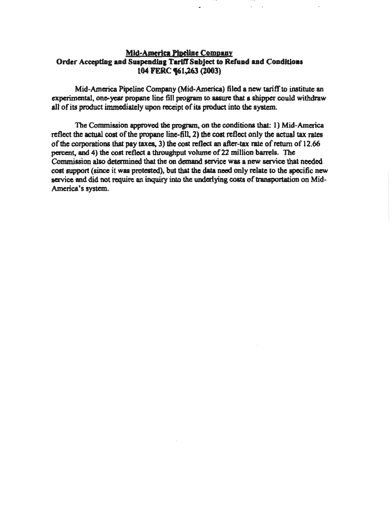# **Mid-America Pipeline Company** Order Accepting and Suspending Tariff Subject to Refund and Conditions 104 FERC **961,263 (2003)**

Mid-America Pipeline Company (Mid-America) filed a new tariff to institute an experimental, one-year propane line fill program to assure that a shipper could withdraw all of its product immediately upon receipt of its product into the system.

The Commission approved the program, on the conditions that: 1) Mid-America reflect the actual cost of the propane line-fill, 2) the cost reflect only the actual tax rates of the corporations that pay taxes, 3) the cost reflect an after-tax rate of return of 12.66 percent, and 4) the cost reflect a throughput volume of 22 million barrels. The Commission also determined that the on demand service was a new service that needed cost support (since it was protested), but that the data need only relate to the specific new service and did not require an inquiry into the underlying costs of transportation on Mid-America's system.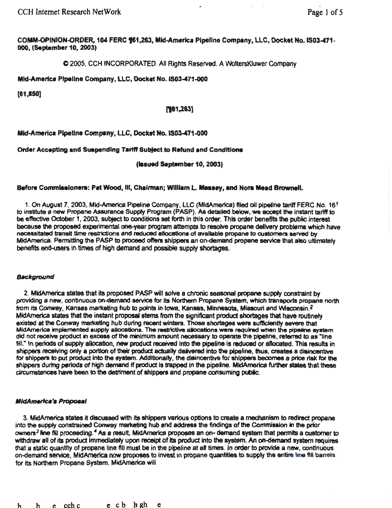COMM-OPINION-ORDER. 104 FERC %1,263, Mid-America Pipeline Company, LLC, Docket No. IS03-471-000, (September 10, 2003)

C 2005, CCH INCORPORATED. All Rights Reserved. A WoltersKJuwer Company

Mtd-Amerlca Pipeline Company, LLC, Docket No.IS03-471.000

[61,850]

# $[$ 1,263]

# Mid-America Pipeline Company, LLC, Docket No. IS03-471-000

# Order Accepting and Suependlng Tariff Subject to Refund and Conditions

(lasued September 10, 2003)

# Before Commissioners: Pat Wood, III, Chairman; William L. Massey, and Nora Mead Brownell.

1. On August 7, 2003, Mid-America Pipeline Company, LLC (MidAmerica) filed oil pipeline tariff FERC No. 16<sup>1</sup> to institute a new Propane Assurance Supply Program (PASP). As detailed below, we accept the instant tariff to be effective October 1, 2003, subject to conditions set forth in this order. This order benefits the public interest because the proposed experimental one-year program attempts to resolve propane delivery problems which have necessitated transit time restrictions and reduced allocations of available propane to customers served by MidAmerica. Permitting the PASP to proceed otrens shippers an on-demand propane service that also ultimately benefits end-users in times of high demand and possible supply shortages.

## **Background**

2. MidAmerica states that its proposed PASP will solve a chronic seasonal propane supply constraint by providing a new, continuous on-demand service for its Northern Propane System, which transports propane north from its Conway, Kansas marketing hub to points in Iowa, Kansas, Minnesota, Missouri and Wisconsin.<sup>2</sup> MldAmerica states that the instant proposal stems from the significant product shortages that have routinely existed at the Conway marketing hub during recent winters. Those shortages were sufficiently severe that MidAmerica implemented supply allocations. The restrictive allocations were required when the pipeline system did not receive product in excess of the minimum amount necessary to operate the pipeline, referred to as "line fill." In periods of supply allocation, new product received into the pipeline is reduced or allocated. This results in shippers receiving only a portion of their product actually delivered into the pipeline, thus, creates a disincentive for shippers to put product into the system. Additionally, the disincentive for shippers becomes a price risk for the shippers during periods of high demand if product is trapped in the pipeline. MidAmerica further states that these drcurnstances have been to the detriment of shippers and propane consuming public.

# **MidAmerica's Proposal**

3. MidAmerica states It discussed with Its shippers various options to create a mechanism to redirect propane into the supply constrained Conway marketing hub and address the findings of the Commission In the prior owners<sup>3</sup> line fill proceeding.<sup>4</sup> As a result, MidAmerica proposes an on- demand system that permits a customer to withdraw all of its product immediately upon receipt of its product into the system. An on-demand system requires that a static quantity of propane line fill must be in the pipeline at all times. In order to provide a new, continuous on-demand service, INidAmerica now proposes to invest in propane quantities to supply the entire line fill barrels for its Northern Propane System. MidAmerica will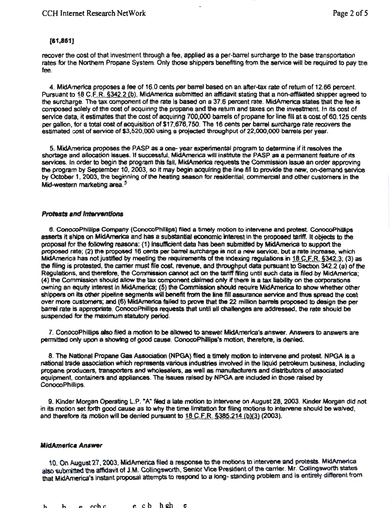## (61,851]

recover the cost of that investment through a fee, applied as a per-barrel surcharge to the base transportation rates for the Northern Propane System. Only those shippers benefiting from the service will be required to pay the fee.

4. MidAmerica proposes a fee of 16.0 cents per barrel based on an after-tax rate of return of 12.66 percent. Pursuant to 18 C,F.R. §342.2 (b). MidAmerica submitted an affidavit stating that a non-affiliated shipper agreed to the surcharge. The tax component of the rate is based on a 37.6 percent rate. MidAmerica states that the fee is composed solely of the cost of acquiring the propane and the return and taxes on the investment In its cost of service data, it estimates that the cost of acquiring 700,000 barrels of propane for line fill at a cost of 60.125 cents per gallon, for a total cost of acquisition of \$17,676,750. The 16 cents per barrel surcharge rate recovers the estimated cost of service of \$3,520,000 using a projected throughput of 22,000,000 barrels per year.

5. MidAmerica proposes the PASP as a one- year experimental program to determine if it resolves the shortage and allocation issues. If successful, MidAmerica will institute the PASP as a permanent feature of its services. In order to begin the program this fall, MidAmerica requests the Commission issue an order approving the program by September 10, 2003, so it may begin acquiring the line fill to provide the new, on-demand service by October 1, 2003, the beginning of the heating season for residential, commercial and other customers in the Mid-western marketing area.<sup>5</sup>

## **Protests and Interventions**

6. ConocoPhillips Company (ConocoPhillips) filed a timely motion to intervene and protest. ConocoPhillips asserts It ships on MldAmerica and has a substantial economic Interest in the proposed tariff. It objects to the proposal for the following reasons: (1) insufficient data has been submitted by MidAmerica to support the proposed rate; (2) the proposed 16 cents per barrel surcharge is not a new service, but a rate Increase, which MidAmerica has not justified by meeting the requirements of the indexing regulations in  $18$  C.F.R. §342.3; (3) as the filing is protested, the carrier must file cost, revenue, and throughput data pursuant to Section 342.2 (a) of the Regulations, and therefore, the Cornrnission cannot act on the tariff filing until such data is filed by MidAmerica; (4) the Commission should allow the tax component claimed only if there is a tax liability on the corporations owning an equity interest In MidAmerica; (5) the Commission should require MidAmerica to show whether other shippers on its other pipeline segments will benefit from the line fill assurance service and thus spread the cost<br>over more customers; and (6) MidAmerica failed to prove that the 22 million barrels proposed to design the barrel rate is appropriate. ConocoPhillips requests that until all challenges are addressed, the rate should be suspended for the maximum statutory period.

7. ConocoPhllllps also filed a motion to be allowed to answer MldAmerica's answer. Answers to answers are permitted only upon a showtng of good cause. ConocoPhilllps's motion, therefore, Is denied.

8. The National Propane Gas Association (NPGA) filed a timely motion to intervene and protest. NPGA is a national trade assoclation which represents various industries involved in the liquid petroleum business. Including propane producers, transporters and wholesalers, as well as manufacturers and distributors of associated equipment, containers and appliances. The issues raised by NPGA are included in those raised by ConocoPhillips.

9. Kinder Morgan Operating l.P. "'A" Ned a late motion to Intervene on August 28, 2003. Kinder Morgan did not in its motion set forth good cause as to why the time limitation for filing motions to Intervene should be waived, and therefore its motion will be denied pursuant to  $18$  C.F.R.  $$385.214$  (b)(3) (2003).

## **MidAmerica Answer**

10. On August 27, 2003, MidAmerica filed a response to the motions to intervene and protests. MldAmerica also submitted the affidavit of J.M. Collingsworth, Senior Vice President of the carrier. Mr. Collingsworth states that MidAmerica's instant proposal attempts to respond to a long- standing problem and is entirely different from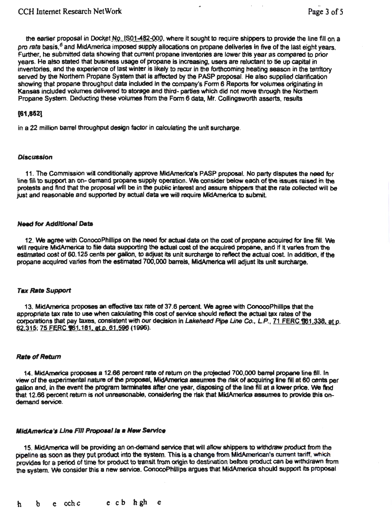the earlier proposal in Docket  $Nq$ .  $[SO1-482-OO,0]$ , where it sought to require shippers to provide the line fill on a pro rata basis, *6* and MidAmerica imposed supply allocations on propane deliveries in five of the last eight years. Further, he submitted data showing that current propane Inventories are lower this year as compared to prior years. He also stated that business usage of propane is increasing, users are reluctant to tie up capital in inventories, and the experience of last winter is likely to recur in the forthcoming heating season in the territory served by the Northem Propane System that is affected by the PASP proposal. He also supplied clarification showing that propane throughput data included in the company's Form 6 Reports for volumes originating in Kansas included volumes delivered to storage and third- parties which did not move through the Northem Propane System. Deducting these volumes from the Form 6 data, Mr. Collingsworth asserts, results

# [81,852]

in a 22 million barrel throughput design factor in calculating the unit surcharge.

## **Discussion**

11. The Commission wil conditionally approve MidAmerica's PASP proposal. No party disputes the need for line fill to support an on- demand propane supply operation. We consider below each of the issues raised in the protests and find that the proposal will be in the public interest and assure shippers that the rate collected will be just and reasonable and supported by actual data we will require MldAmerica to submit

## **Need for Additional Data**

12. We agree with ConocoPhillips on the need for actual data on the cost of propane acquired for fine fill. We will require MidAmerica to file data supporting the actual cost of the acquired propane, and if it varies from the estimated cost of 60.125 cents per gallon, to adjust its unit surcharge to reftect the actual cost In addition, tf the propane acquired varies from the estimated 700,000 barrels, MldAmerica wtll adjust Its unit surcharge.

## **Tax Rate Support**

13. MidAmerica proposes an effective tax rate of 37.6 percent. We agree with ConocoPhillips that the appropriate tax rate to use when calculating this cost of service should reftect the actual tax rates of the corporations that pay taxes, consistent with our decision in Lakehead Pipe Line Co., L.P., 71 FERC 161,338, at p, 62.315; 75 FERC 161.181, at p. 61.596 (1996).

## **Rate of Return**

14. MldAmerica proposes a 12.66 percent rate of return on the projected 700,000 bamtl propane line fill. In view of the experimental nature of the proposal, MidAmerica assumes the risk of acquiring line fill at 60 cents per gallon and, in the event the program terminates after one year, disposing of the line fill at a lower price. We find that 12.66 percent return is not unreasonable, considering the risk that MldAmerica assumes to provide this ondemand service.

## MidAmerica's Line Fill Proposal is a New Service

15. MidAmerica will be providing an on-demand service that will allow shippers to withdraw product from the pipeline as soon as they put product into the system. This is a change from MidAmerican's current tariff, which provides for a period of time for product to translt from origin to destination before product can be withdrawn from the system. We consider this a new service. ConocoPhillips argues that MidAmerica should support its proposal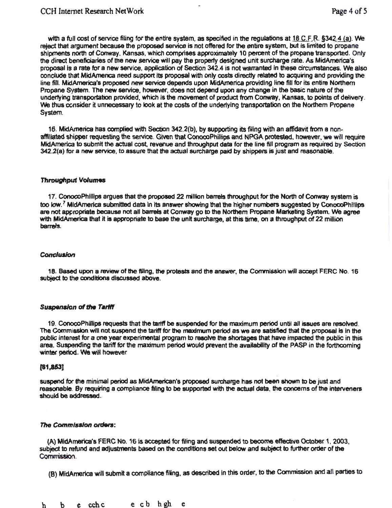with a full cost of service filing for the entire system, as specified in the regulations at  $18$  C.F.R.  $\S 342.4$  (a). We reject that argument because the proposed service is not offered for the entire system, but is limited to propane shipments north of Conway, Kansas, which comprises approximately 10 percent of the propane transported. Only the direct beneficiaries of the new service will pay the property designed unit surcharge rate. As MidAmerica's proposal is a rate for a new service, application of Section 342.4 is not warranted in these circumstances. We also conclude that MidAmerica need support its proposal with only costs directly related to acquiring and providing the line fill. MidAmerica's proposed new service depends upon MidAmerica providing line fill for its entire Northern Propane System. The new service, however, does not depend upon any change in the basic nature of the underlying transportation provided, which is the movement of product from Conway. Kansas, to points of delivery. *'Ne* thus consider it unnecessary to look at the costs of the underlying transportation on the Northern Propane System.

16. MidAmerica has complied with Section 342.2(b), by supporting its filing with an affidavit from a nonaffiliated shipper requesting the service. Given that ConocoPhillips and NPGA protested, however, we will require MldAmerica to submit the actual cost. revenue and throughput data for the line fill program as required by Section 342.2(a) for a new service, to assure that the actual surcharge paid by shippers is just and reasonable.

## Throughput Volumes

17. ConocoPhllltps argues that the proposed 22 million barrels throughput for the North of Conway system is too low.<sup>7</sup> MidAmerica submitted data in its answer showing that the higher numbers suggested by ConocoPhillips are not appropriate because not all barrels at Conway go to the Northern Propane Marketing System. We agree with MidAmerica that it is appropriate to base the unit surcharge, at this time, on a throughput of 22 million barrels.

## Conclusion

18. Based upon a review of the filing, the protests and the answer, the Commission will accept FERC No. 16 subject to the conditions discussed above.

# Suspension of the Tariff

19. ConocoPhillips requests that the tariff be suspended for the maximum period until all issues are resolved. The Commission will not suspend the tariff fer the maximum period as we are satisfied that the proposal is in the public lnterast for a one year experimental program to resolve the shortages that have impacted the public in this area. Suspending the tariff for the maximum period would prevent the availability of the PASP in the forthcoming winter period. We wiH however

# [81,853]

suspend for the minimal period as MidAmerican's proposed surcharge has not been shown to be just and reasonable. By requiring a compliance filing to be supported with the actual data, the concerns of the interveners should be addressed.

## The *Commission* 0/denJ:

(A) MidAmerk:a's FERC No. 16 ls accepted for filing and suspended to become effective October 1. 2003, subject to refund and adjustments based on the conditions set out below and subject to further order of the Commission.

(B) MidAmerica will submit a compliance filing, as described in this order, to the Commission and all parties to

h b e cchc ecb hgh e